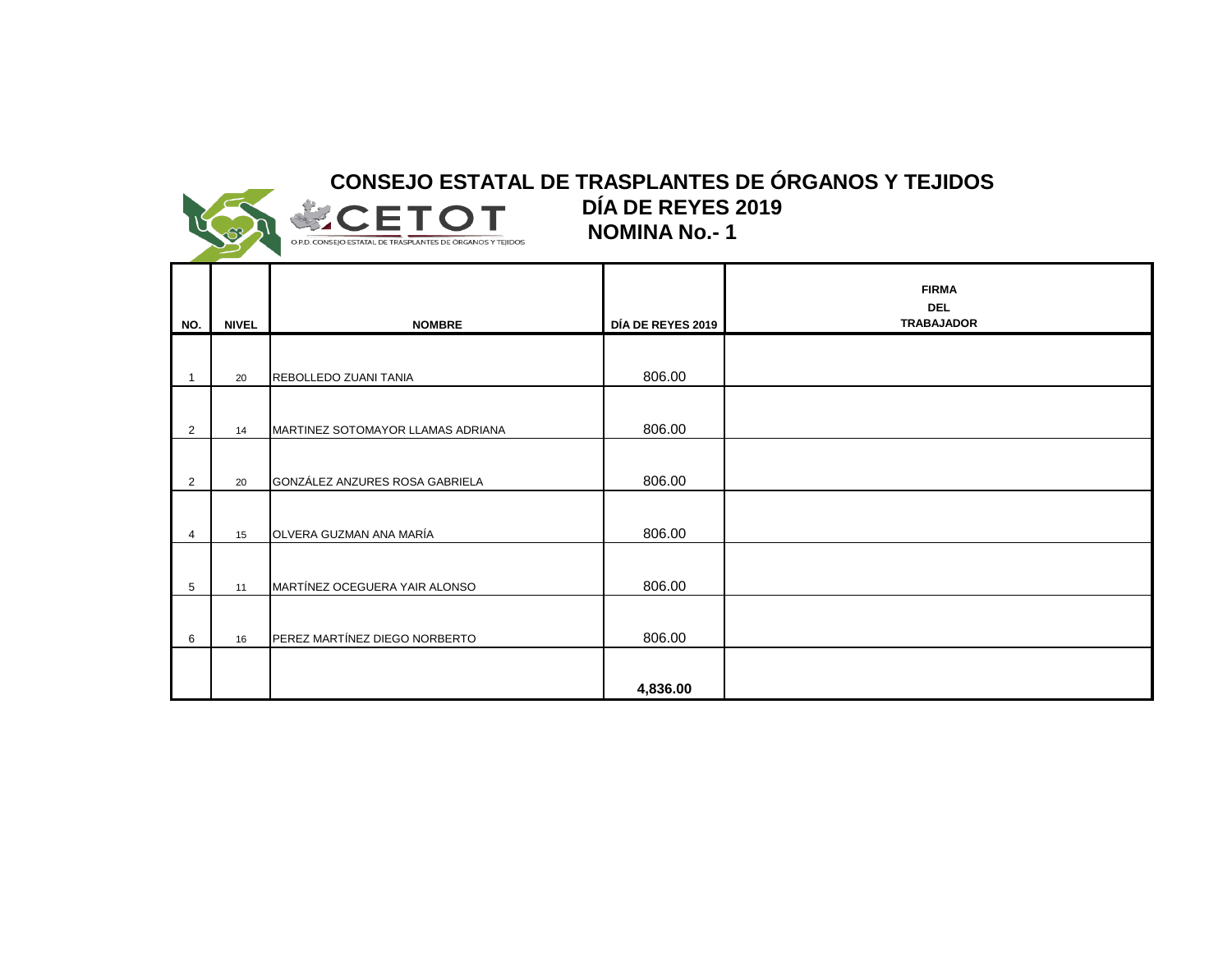

**NOMINA No.- 1 CONSEJO ESTATAL DE TRASPLANTES DE ÓRGANOS Y TEJIDOS DÍA DE REYES 2019**

|                |              |                                   |                   | <b>FIRMA</b><br><b>DEL</b><br><b>TRABAJADOR</b> |
|----------------|--------------|-----------------------------------|-------------------|-------------------------------------------------|
| NO.            | <b>NIVEL</b> | <b>NOMBRE</b>                     | DÍA DE REYES 2019 |                                                 |
|                | 20           | REBOLLEDO ZUANI TANIA             | 806.00            |                                                 |
| $\overline{2}$ | 14           | MARTINEZ SOTOMAYOR LLAMAS ADRIANA | 806.00            |                                                 |
| $\overline{2}$ | 20           | GONZÁLEZ ANZURES ROSA GABRIELA    | 806.00            |                                                 |
| 4              | 15           | OLVERA GUZMAN ANA MARÍA           | 806.00            |                                                 |
| 5              | 11           | MARTÍNEZ OCEGUERA YAIR ALONSO     | 806.00            |                                                 |
| 6              | 16           | PEREZ MARTÍNEZ DIEGO NORBERTO     | 806.00            |                                                 |
|                |              |                                   | 4,836.00          |                                                 |